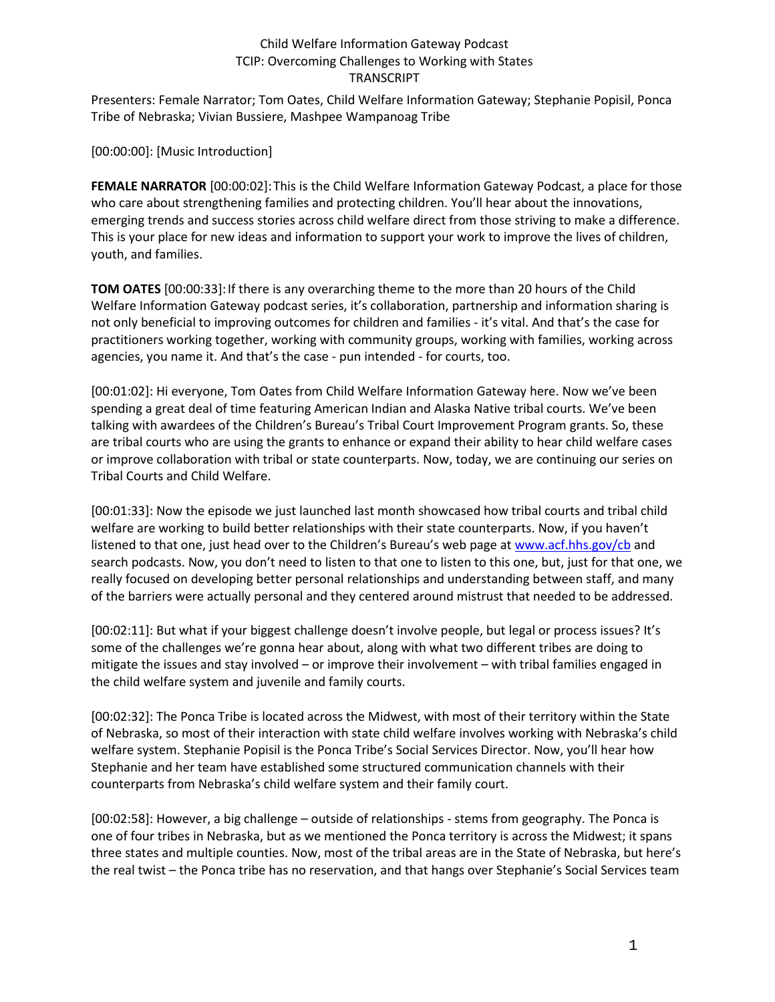Presenters: Female Narrator; Tom Oates, Child Welfare Information Gateway; Stephanie Popisil, Ponca Tribe of Nebraska; Vivian Bussiere, Mashpee Wampanoag Tribe

[00:00:00]: [Music Introduction]

**FEMALE NARRATOR** [00:00:02]:This is the Child Welfare Information Gateway Podcast, a place for those who care about strengthening families and protecting children. You'll hear about the innovations, emerging trends and success stories across child welfare direct from those striving to make a difference. This is your place for new ideas and information to support your work to improve the lives of children, youth, and families.

**TOM OATES** [00:00:33]:If there is any overarching theme to the more than 20 hours of the Child Welfare Information Gateway podcast series, it's collaboration, partnership and information sharing is not only beneficial to improving outcomes for children and families - it's vital. And that's the case for practitioners working together, working with community groups, working with families, working across agencies, you name it. And that's the case - pun intended - for courts, too.

[00:01:02]: Hi everyone, Tom Oates from Child Welfare Information Gateway here. Now we've been spending a great deal of time featuring American Indian and Alaska Native tribal courts. We've been talking with awardees of the Children's Bureau's Tribal Court Improvement Program grants. So, these are tribal courts who are using the grants to enhance or expand their ability to hear child welfare cases or improve collaboration with tribal or state counterparts. Now, today, we are continuing our series on Tribal Courts and Child Welfare.

[00:01:33]: Now the episode we just launched last month showcased how tribal courts and tribal child welfare are working to build better relationships with their state counterparts. Now, if you haven't listened to that one, just head over to the Children's Bureau's web page at [www.acf.hhs.gov/cb](https://www.acf.hhs.gov/cb) and search podcasts. Now, you don't need to listen to that one to listen to this one, but, just for that one, we really focused on developing better personal relationships and understanding between staff, and many of the barriers were actually personal and they centered around mistrust that needed to be addressed.

[00:02:11]: But what if your biggest challenge doesn't involve people, but legal or process issues? It's some of the challenges we're gonna hear about, along with what two different tribes are doing to mitigate the issues and stay involved – or improve their involvement – with tribal families engaged in the child welfare system and juvenile and family courts.

[00:02:32]: The Ponca Tribe is located across the Midwest, with most of their territory within the State of Nebraska, so most of their interaction with state child welfare involves working with Nebraska's child welfare system. Stephanie Popisil is the Ponca Tribe's Social Services Director. Now, you'll hear how Stephanie and her team have established some structured communication channels with their counterparts from Nebraska's child welfare system and their family court.

[00:02:58]: However, a big challenge – outside of relationships - stems from geography. The Ponca is one of four tribes in Nebraska, but as we mentioned the Ponca territory is across the Midwest; it spans three states and multiple counties. Now, most of the tribal areas are in the State of Nebraska, but here's the real twist – the Ponca tribe has no reservation, and that hangs over Stephanie's Social Services team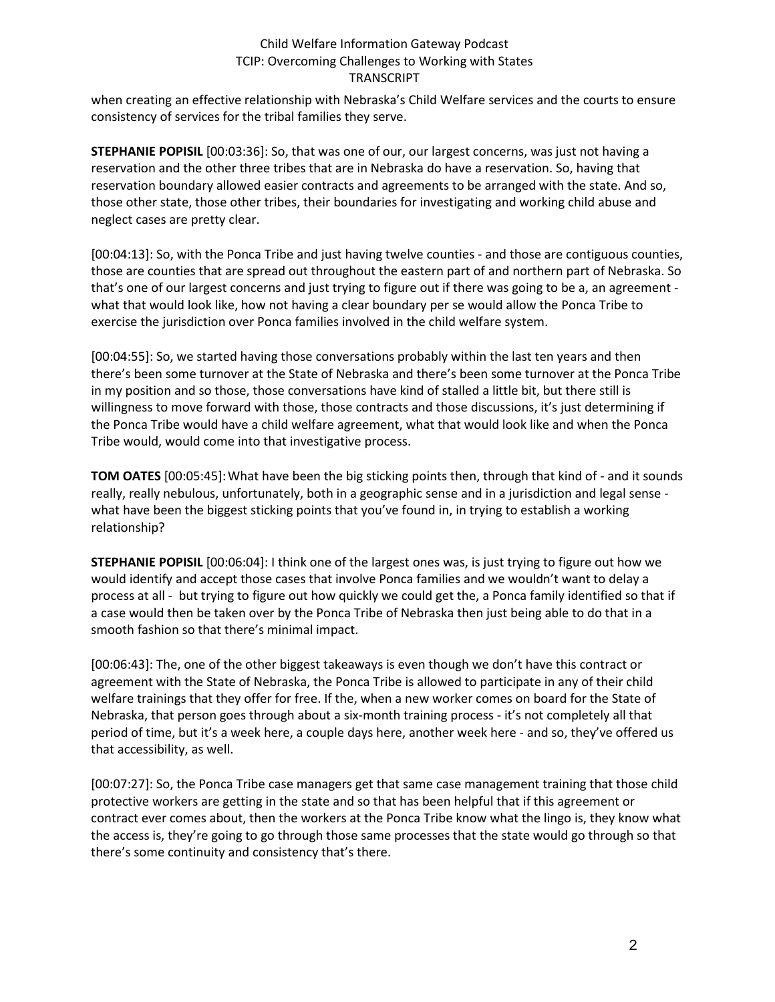when creating an effective relationship with Nebraska's Child Welfare services and the courts to ensure consistency of services for the tribal families they serve.

**STEPHANIE POPISIL** [00:03:36]: So, that was one of our, our largest concerns, was just not having a reservation and the other three tribes that are in Nebraska do have a reservation. So, having that reservation boundary allowed easier contracts and agreements to be arranged with the state. And so, those other state, those other tribes, their boundaries for investigating and working child abuse and neglect cases are pretty clear.

[00:04:13]: So, with the Ponca Tribe and just having twelve counties - and those are contiguous counties, those are counties that are spread out throughout the eastern part of and northern part of Nebraska. So that's one of our largest concerns and just trying to figure out if there was going to be a, an agreement what that would look like, how not having a clear boundary per se would allow the Ponca Tribe to exercise the jurisdiction over Ponca families involved in the child welfare system.

[00:04:55]: So, we started having those conversations probably within the last ten years and then there's been some turnover at the State of Nebraska and there's been some turnover at the Ponca Tribe in my position and so those, those conversations have kind of stalled a little bit, but there still is willingness to move forward with those, those contracts and those discussions, it's just determining if the Ponca Tribe would have a child welfare agreement, what that would look like and when the Ponca Tribe would, would come into that investigative process.

**TOM OATES** [00:05:45]:What have been the big sticking points then, through that kind of - and it sounds really, really nebulous, unfortunately, both in a geographic sense and in a jurisdiction and legal sense what have been the biggest sticking points that you've found in, in trying to establish a working relationship?

**STEPHANIE POPISIL** [00:06:04]: I think one of the largest ones was, is just trying to figure out how we would identify and accept those cases that involve Ponca families and we wouldn't want to delay a process at all - but trying to figure out how quickly we could get the, a Ponca family identified so that if a case would then be taken over by the Ponca Tribe of Nebraska then just being able to do that in a smooth fashion so that there's minimal impact.

[00:06:43]: The, one of the other biggest takeaways is even though we don't have this contract or agreement with the State of Nebraska, the Ponca Tribe is allowed to participate in any of their child welfare trainings that they offer for free. If the, when a new worker comes on board for the State of Nebraska, that person goes through about a six-month training process - it's not completely all that period of time, but it's a week here, a couple days here, another week here - and so, they've offered us that accessibility, as well.

[00:07:27]: So, the Ponca Tribe case managers get that same case management training that those child protective workers are getting in the state and so that has been helpful that if this agreement or contract ever comes about, then the workers at the Ponca Tribe know what the lingo is, they know what the access is, they're going to go through those same processes that the state would go through so that there's some continuity and consistency that's there.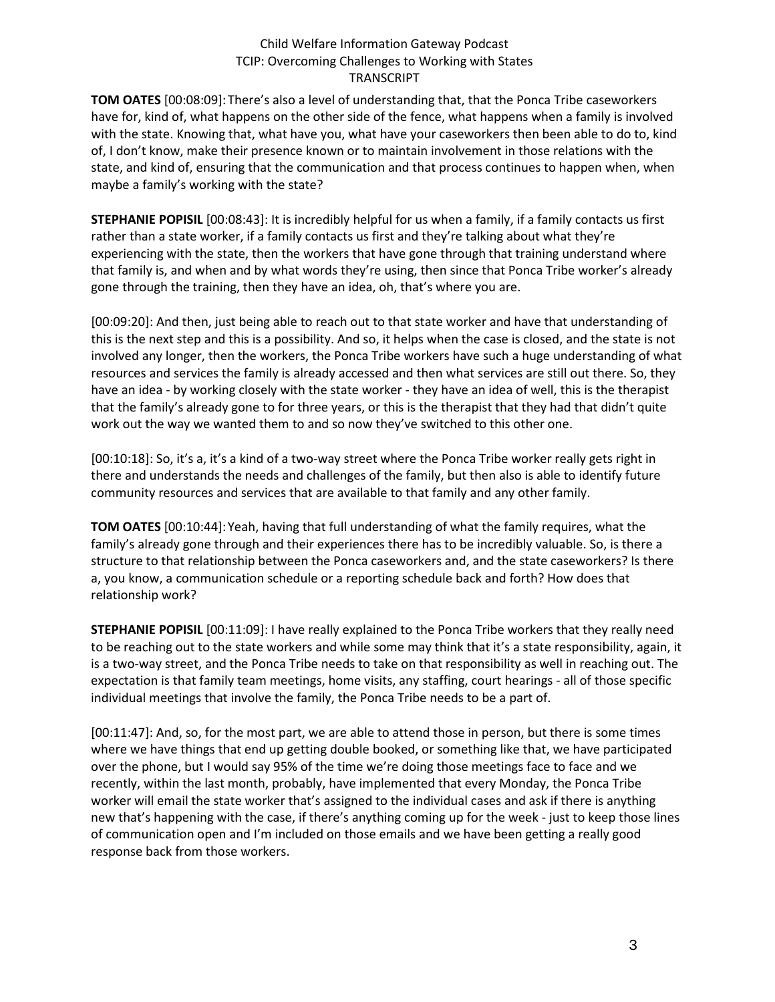**TOM OATES** [00:08:09]:There's also a level of understanding that, that the Ponca Tribe caseworkers have for, kind of, what happens on the other side of the fence, what happens when a family is involved with the state. Knowing that, what have you, what have your caseworkers then been able to do to, kind of, I don't know, make their presence known or to maintain involvement in those relations with the state, and kind of, ensuring that the communication and that process continues to happen when, when maybe a family's working with the state?

**STEPHANIE POPISIL** [00:08:43]: It is incredibly helpful for us when a family, if a family contacts us first rather than a state worker, if a family contacts us first and they're talking about what they're experiencing with the state, then the workers that have gone through that training understand where that family is, and when and by what words they're using, then since that Ponca Tribe worker's already gone through the training, then they have an idea, oh, that's where you are.

[00:09:20]: And then, just being able to reach out to that state worker and have that understanding of this is the next step and this is a possibility. And so, it helps when the case is closed, and the state is not involved any longer, then the workers, the Ponca Tribe workers have such a huge understanding of what resources and services the family is already accessed and then what services are still out there. So, they have an idea - by working closely with the state worker - they have an idea of well, this is the therapist that the family's already gone to for three years, or this is the therapist that they had that didn't quite work out the way we wanted them to and so now they've switched to this other one.

[00:10:18]: So, it's a, it's a kind of a two-way street where the Ponca Tribe worker really gets right in there and understands the needs and challenges of the family, but then also is able to identify future community resources and services that are available to that family and any other family.

**TOM OATES** [00:10:44]:Yeah, having that full understanding of what the family requires, what the family's already gone through and their experiences there has to be incredibly valuable. So, is there a structure to that relationship between the Ponca caseworkers and, and the state caseworkers? Is there a, you know, a communication schedule or a reporting schedule back and forth? How does that relationship work?

**STEPHANIE POPISIL** [00:11:09]: I have really explained to the Ponca Tribe workers that they really need to be reaching out to the state workers and while some may think that it's a state responsibility, again, it is a two-way street, and the Ponca Tribe needs to take on that responsibility as well in reaching out. The expectation is that family team meetings, home visits, any staffing, court hearings - all of those specific individual meetings that involve the family, the Ponca Tribe needs to be a part of.

[00:11:47]: And, so, for the most part, we are able to attend those in person, but there is some times where we have things that end up getting double booked, or something like that, we have participated over the phone, but I would say 95% of the time we're doing those meetings face to face and we recently, within the last month, probably, have implemented that every Monday, the Ponca Tribe worker will email the state worker that's assigned to the individual cases and ask if there is anything new that's happening with the case, if there's anything coming up for the week - just to keep those lines of communication open and I'm included on those emails and we have been getting a really good response back from those workers.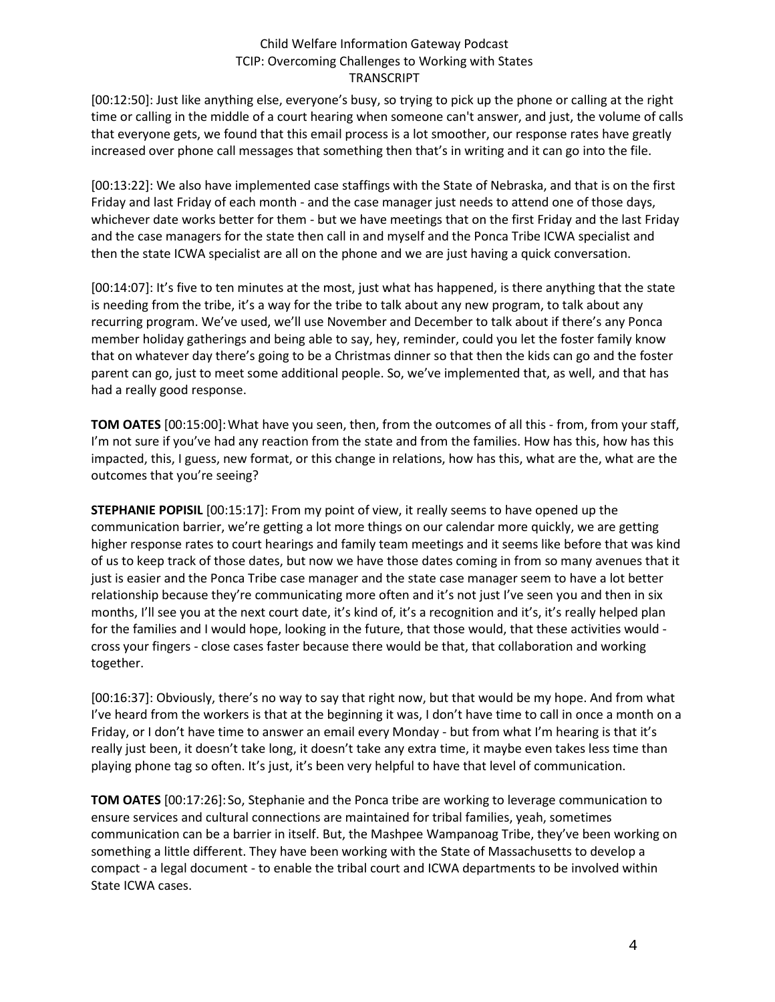[00:12:50]: Just like anything else, everyone's busy, so trying to pick up the phone or calling at the right time or calling in the middle of a court hearing when someone can't answer, and just, the volume of calls that everyone gets, we found that this email process is a lot smoother, our response rates have greatly increased over phone call messages that something then that's in writing and it can go into the file.

[00:13:22]: We also have implemented case staffings with the State of Nebraska, and that is on the first Friday and last Friday of each month - and the case manager just needs to attend one of those days, whichever date works better for them - but we have meetings that on the first Friday and the last Friday and the case managers for the state then call in and myself and the Ponca Tribe ICWA specialist and then the state ICWA specialist are all on the phone and we are just having a quick conversation.

[00:14:07]: It's five to ten minutes at the most, just what has happened, is there anything that the state is needing from the tribe, it's a way for the tribe to talk about any new program, to talk about any recurring program. We've used, we'll use November and December to talk about if there's any Ponca member holiday gatherings and being able to say, hey, reminder, could you let the foster family know that on whatever day there's going to be a Christmas dinner so that then the kids can go and the foster parent can go, just to meet some additional people. So, we've implemented that, as well, and that has had a really good response.

**TOM OATES** [00:15:00]:What have you seen, then, from the outcomes of all this - from, from your staff, I'm not sure if you've had any reaction from the state and from the families. How has this, how has this impacted, this, I guess, new format, or this change in relations, how has this, what are the, what are the outcomes that you're seeing?

**STEPHANIE POPISIL** [00:15:17]: From my point of view, it really seems to have opened up the communication barrier, we're getting a lot more things on our calendar more quickly, we are getting higher response rates to court hearings and family team meetings and it seems like before that was kind of us to keep track of those dates, but now we have those dates coming in from so many avenues that it just is easier and the Ponca Tribe case manager and the state case manager seem to have a lot better relationship because they're communicating more often and it's not just I've seen you and then in six months, I'll see you at the next court date, it's kind of, it's a recognition and it's, it's really helped plan for the families and I would hope, looking in the future, that those would, that these activities would cross your fingers - close cases faster because there would be that, that collaboration and working together.

[00:16:37]: Obviously, there's no way to say that right now, but that would be my hope. And from what I've heard from the workers is that at the beginning it was, I don't have time to call in once a month on a Friday, or I don't have time to answer an email every Monday - but from what I'm hearing is that it's really just been, it doesn't take long, it doesn't take any extra time, it maybe even takes less time than playing phone tag so often. It's just, it's been very helpful to have that level of communication.

**TOM OATES** [00:17:26]:So, Stephanie and the Ponca tribe are working to leverage communication to ensure services and cultural connections are maintained for tribal families, yeah, sometimes communication can be a barrier in itself. But, the Mashpee Wampanoag Tribe, they've been working on something a little different. They have been working with the State of Massachusetts to develop a compact - a legal document - to enable the tribal court and ICWA departments to be involved within State ICWA cases.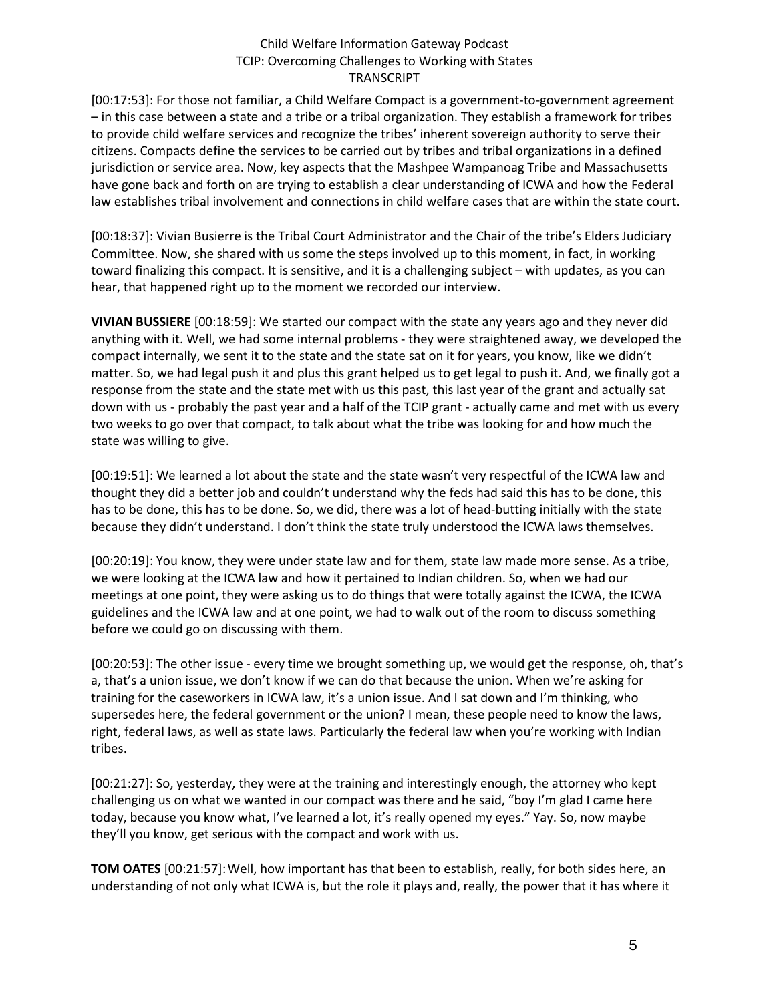[00:17:53]: For those not familiar, a Child Welfare Compact is a government-to-government agreement – in this case between a state and a tribe or a tribal organization. They establish a framework for tribes to provide child welfare services and recognize the tribes' inherent sovereign authority to serve their citizens. Compacts define the services to be carried out by tribes and tribal organizations in a defined jurisdiction or service area. Now, key aspects that the Mashpee Wampanoag Tribe and Massachusetts have gone back and forth on are trying to establish a clear understanding of ICWA and how the Federal law establishes tribal involvement and connections in child welfare cases that are within the state court.

[00:18:37]: Vivian Busierre is the Tribal Court Administrator and the Chair of the tribe's Elders Judiciary Committee. Now, she shared with us some the steps involved up to this moment, in fact, in working toward finalizing this compact. It is sensitive, and it is a challenging subject – with updates, as you can hear, that happened right up to the moment we recorded our interview.

**VIVIAN BUSSIERE** [00:18:59]: We started our compact with the state any years ago and they never did anything with it. Well, we had some internal problems - they were straightened away, we developed the compact internally, we sent it to the state and the state sat on it for years, you know, like we didn't matter. So, we had legal push it and plus this grant helped us to get legal to push it. And, we finally got a response from the state and the state met with us this past, this last year of the grant and actually sat down with us - probably the past year and a half of the TCIP grant - actually came and met with us every two weeks to go over that compact, to talk about what the tribe was looking for and how much the state was willing to give.

[00:19:51]: We learned a lot about the state and the state wasn't very respectful of the ICWA law and thought they did a better job and couldn't understand why the feds had said this has to be done, this has to be done, this has to be done. So, we did, there was a lot of head-butting initially with the state because they didn't understand. I don't think the state truly understood the ICWA laws themselves.

[00:20:19]: You know, they were under state law and for them, state law made more sense. As a tribe, we were looking at the ICWA law and how it pertained to Indian children. So, when we had our meetings at one point, they were asking us to do things that were totally against the ICWA, the ICWA guidelines and the ICWA law and at one point, we had to walk out of the room to discuss something before we could go on discussing with them.

[00:20:53]: The other issue - every time we brought something up, we would get the response, oh, that's a, that's a union issue, we don't know if we can do that because the union. When we're asking for training for the caseworkers in ICWA law, it's a union issue. And I sat down and I'm thinking, who supersedes here, the federal government or the union? I mean, these people need to know the laws, right, federal laws, as well as state laws. Particularly the federal law when you're working with Indian tribes.

[00:21:27]: So, yesterday, they were at the training and interestingly enough, the attorney who kept challenging us on what we wanted in our compact was there and he said, "boy I'm glad I came here today, because you know what, I've learned a lot, it's really opened my eyes." Yay. So, now maybe they'll you know, get serious with the compact and work with us.

**TOM OATES** [00:21:57]:Well, how important has that been to establish, really, for both sides here, an understanding of not only what ICWA is, but the role it plays and, really, the power that it has where it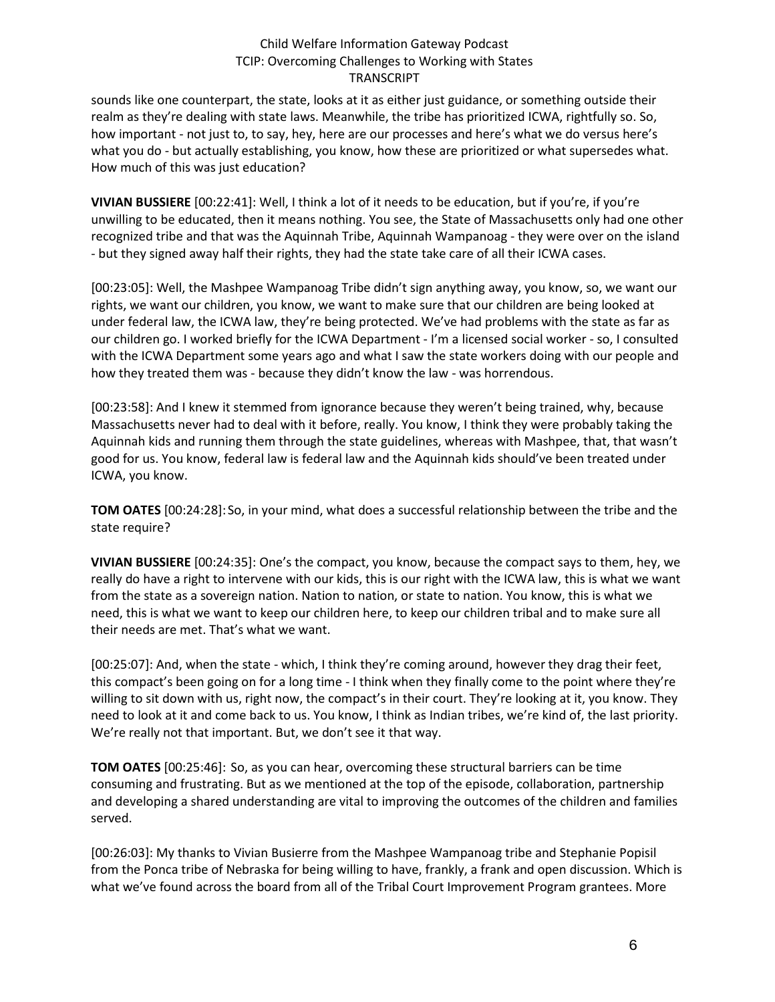sounds like one counterpart, the state, looks at it as either just guidance, or something outside their realm as they're dealing with state laws. Meanwhile, the tribe has prioritized ICWA, rightfully so. So, how important - not just to, to say, hey, here are our processes and here's what we do versus here's what you do - but actually establishing, you know, how these are prioritized or what supersedes what. How much of this was just education?

**VIVIAN BUSSIERE** [00:22:41]: Well, I think a lot of it needs to be education, but if you're, if you're unwilling to be educated, then it means nothing. You see, the State of Massachusetts only had one other recognized tribe and that was the Aquinnah Tribe, Aquinnah Wampanoag - they were over on the island - but they signed away half their rights, they had the state take care of all their ICWA cases.

[00:23:05]: Well, the Mashpee Wampanoag Tribe didn't sign anything away, you know, so, we want our rights, we want our children, you know, we want to make sure that our children are being looked at under federal law, the ICWA law, they're being protected. We've had problems with the state as far as our children go. I worked briefly for the ICWA Department - I'm a licensed social worker - so, I consulted with the ICWA Department some years ago and what I saw the state workers doing with our people and how they treated them was - because they didn't know the law - was horrendous.

[00:23:58]: And I knew it stemmed from ignorance because they weren't being trained, why, because Massachusetts never had to deal with it before, really. You know, I think they were probably taking the Aquinnah kids and running them through the state guidelines, whereas with Mashpee, that, that wasn't good for us. You know, federal law is federal law and the Aquinnah kids should've been treated under ICWA, you know.

**TOM OATES** [00:24:28]:So, in your mind, what does a successful relationship between the tribe and the state require?

**VIVIAN BUSSIERE** [00:24:35]: One's the compact, you know, because the compact says to them, hey, we really do have a right to intervene with our kids, this is our right with the ICWA law, this is what we want from the state as a sovereign nation. Nation to nation, or state to nation. You know, this is what we need, this is what we want to keep our children here, to keep our children tribal and to make sure all their needs are met. That's what we want.

[00:25:07]: And, when the state - which, I think they're coming around, however they drag their feet, this compact's been going on for a long time - I think when they finally come to the point where they're willing to sit down with us, right now, the compact's in their court. They're looking at it, you know. They need to look at it and come back to us. You know, I think as Indian tribes, we're kind of, the last priority. We're really not that important. But, we don't see it that way.

**TOM OATES** [00:25:46]: So, as you can hear, overcoming these structural barriers can be time consuming and frustrating. But as we mentioned at the top of the episode, collaboration, partnership and developing a shared understanding are vital to improving the outcomes of the children and families served.

[00:26:03]: My thanks to Vivian Busierre from the Mashpee Wampanoag tribe and Stephanie Popisil from the Ponca tribe of Nebraska for being willing to have, frankly, a frank and open discussion. Which is what we've found across the board from all of the Tribal Court Improvement Program grantees. More